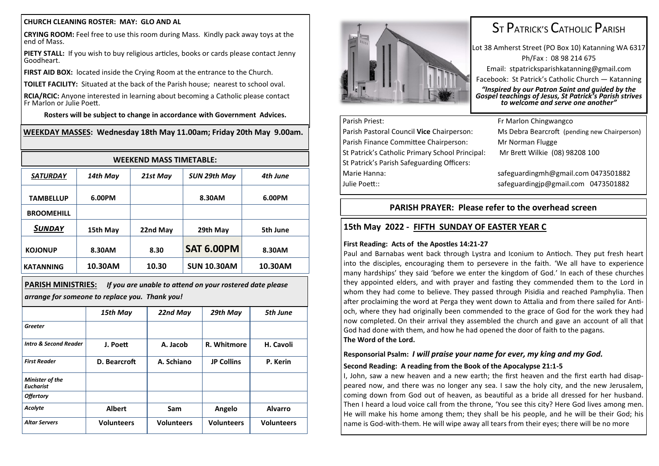#### **CHURCH CLEANING ROSTER: MAY: GLO AND AL**

**CRYING ROOM:** Feel free to use this room during Mass. Kindly pack away toys at the end of Mass.

**PIETY STALL:** If you wish to buy religious articles, books or cards please contact Jenny Goodheart.

**FIRST AID BOX:** located inside the Crying Room at the entrance to the Church.

**TOILET FACILITY:** Situated at the back of the Parish house; nearest to school oval.

**RCIA/RCIC:** Anyone interested in learning about becoming a Catholic please contact Fr Marlon or Julie Poett.

**Rosters will be subject to change in accordance with Government Advices.**

#### **WEEKDAY MASSES: Wednesday 18th May 11.00am; Friday 20th May 9.00am.**

| <b>WEEKEND MASS TIMETABLE:</b> |          |          |                    |          |  |  |
|--------------------------------|----------|----------|--------------------|----------|--|--|
| <b>SATURDAY</b>                | 14th May | 21st May | SUN 29th May       | 4th June |  |  |
| <b>TAMBELLUP</b>               | 6.00PM   |          | 8.30AM             | 6.00PM   |  |  |
| <b>BROOMEHILL</b>              |          |          |                    |          |  |  |
| SUNDAY                         | 15th May | 22nd May | 29th May           | 5th June |  |  |
| <b>KOJONUP</b>                 | 8.30AM   | 8.30     | <b>SAT 6.00PM</b>  | 8.30AM   |  |  |
| <b>KATANNING</b>               | 10.30AM  | 10.30    | <b>SUN 10.30AM</b> | 10.30AM  |  |  |

**PARISH MINISTRIES:** *If you are unable to attend on your rostered date please arrange for someone to replace you. Thank you!*

|                                            | 15th May          | 22nd May          | 29th May          | 5th June          |
|--------------------------------------------|-------------------|-------------------|-------------------|-------------------|
| Greeter                                    |                   |                   |                   |                   |
| <b>Intro &amp; Second Reader</b>           | J. Poett          | A. Jacob          | R. Whitmore       | H. Cavoli         |
| <b>First Reader</b>                        | D. Bearcroft      | A. Schiano        | <b>JP Collins</b> | P. Kerin          |
| <b>Minister of the</b><br><b>Eucharist</b> |                   |                   |                   |                   |
| <b>Offertory</b>                           |                   |                   |                   |                   |
| Acolyte                                    | <b>Albert</b>     | Sam               | Angelo            | <b>Alvarro</b>    |
| <b>Altar Servers</b>                       | <b>Volunteers</b> | <b>Volunteers</b> | <b>Volunteers</b> | <b>Volunteers</b> |



# ST PATRICK'S CATHOLIC PARISH

Lot 38 Amherst Street (PO Box 10) Katanning WA 6317 Ph/Fax : 08 98 214 675 Email: stpatricksparishkatanning@gmail.com Facebook: St Patrick's Catholic Church — Katanning *"Inspired by our Patron Saint and guided by the Gospel teachings of Jesus, St Patrick's Parish strives to welcome and serve one another"*

## Parish Priest: Fr Marlon Chingwangco Parish Finance Committee Chairperson: Mr Norman Flugge St Patrick's Catholic Primary School Principal: Mr Brett Wilkie (08) 98208 100 St Patrick's Parish Safeguarding Officers: Marie Hanna: safeguardingmh@gmail.com 0473501882 Julie Poett:: safeguardingjp@gmail.com 0473501882

Parish Pastoral Council **Vice** Chairperson: Ms Debra Bearcroft (pending new Chairperson)

#### **PARISH PRAYER: Please refer to the overhead screen**

### **15th May 2022 - FIFTH SUNDAY OF EASTER YEAR C**

#### **First Reading: Acts of the Apostles 14:21-27**

Paul and Barnabas went back through Lystra and Iconium to Antioch. They put fresh heart into the disciples, encouraging them to persevere in the faith. 'We all have to experience many hardships' they said 'before we enter the kingdom of God.' In each of these churches they appointed elders, and with prayer and fasting they commended them to the Lord in whom they had come to believe. They passed through Pisidia and reached Pamphylia. Then after proclaiming the word at Perga they went down to Attalia and from there sailed for Antioch, where they had originally been commended to the grace of God for the work they had now completed. On their arrival they assembled the church and gave an account of all that God had done with them, and how he had opened the door of faith to the pagans. **The Word of the Lord.**

#### **Responsorial Psalm:** *I will praise your name for ever, my king and my God.*

#### **Second Reading: A reading from the Book of the Apocalypse 21:1-5**

I, John, saw a new heaven and a new earth; the first heaven and the first earth had disappeared now, and there was no longer any sea. I saw the holy city, and the new Jerusalem, coming down from God out of heaven, as beautiful as a bride all dressed for her husband. Then I heard a loud voice call from the throne, 'You see this city? Here God lives among men. He will make his home among them; they shall be his people, and he will be their God; his name is God-with-them. He will wipe away all tears from their eyes; there will be no more